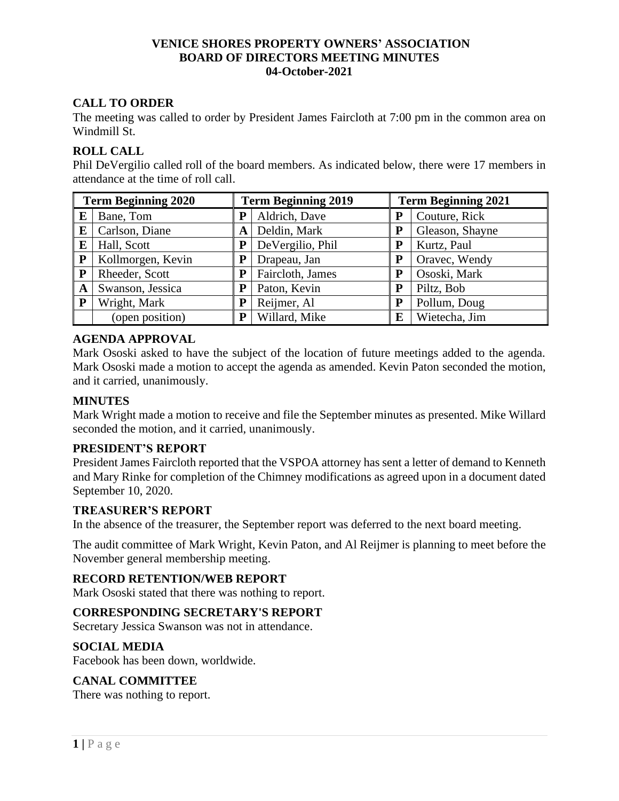# **VENICE SHORES PROPERTY OWNERS' ASSOCIATION BOARD OF DIRECTORS MEETING MINUTES 04-October-2021**

# **CALL TO ORDER**

The meeting was called to order by President James Faircloth at 7:00 pm in the common area on Windmill St.

# **ROLL CALL**

Phil DeVergilio called roll of the board members. As indicated below, there were 17 members in attendance at the time of roll call.

| <b>Term Beginning 2020</b> |                   | <b>Term Beginning 2019</b> |                  | <b>Term Beginning 2021</b> |                 |
|----------------------------|-------------------|----------------------------|------------------|----------------------------|-----------------|
| E                          | Bane, Tom         | P                          | Aldrich, Dave    | P                          | Couture, Rick   |
| E                          | Carlson, Diane    | A                          | Deldin, Mark     | P                          | Gleason, Shayne |
| E                          | Hall, Scott       |                            | DeVergilio, Phil | P                          | Kurtz, Paul     |
| ${\bf P}$                  | Kollmorgen, Kevin |                            | Drapeau, Jan     | P                          | Oravec, Wendy   |
| ${\bf P}$                  | Rheeder, Scott    | P                          | Faircloth, James | P                          | Ososki, Mark    |
| A                          | Swanson, Jessica  | P                          | Paton, Kevin     | P                          | Piltz, Bob      |
| ${\bf P}$                  | Wright, Mark      | P                          | Reijmer, Al      | P                          | Pollum, Doug    |
|                            | (open position)   | P                          | Willard, Mike    | E                          | Wietecha, Jim   |

# **AGENDA APPROVAL**

Mark Ososki asked to have the subject of the location of future meetings added to the agenda. Mark Ososki made a motion to accept the agenda as amended. Kevin Paton seconded the motion, and it carried, unanimously.

# **MINUTES**

Mark Wright made a motion to receive and file the September minutes as presented. Mike Willard seconded the motion, and it carried, unanimously.

# **PRESIDENT'S REPORT**

President James Faircloth reported that the VSPOA attorney has sent a letter of demand to Kenneth and Mary Rinke for completion of the Chimney modifications as agreed upon in a document dated September 10, 2020.

# **TREASURER'S REPORT**

In the absence of the treasurer, the September report was deferred to the next board meeting.

The audit committee of Mark Wright, Kevin Paton, and Al Reijmer is planning to meet before the November general membership meeting.

# **RECORD RETENTION/WEB REPORT**

Mark Ososki stated that there was nothing to report.

# **CORRESPONDING SECRETARY'S REPORT**

Secretary Jessica Swanson was not in attendance.

# **SOCIAL MEDIA**

Facebook has been down, worldwide.

# **CANAL COMMITTEE**

There was nothing to report.